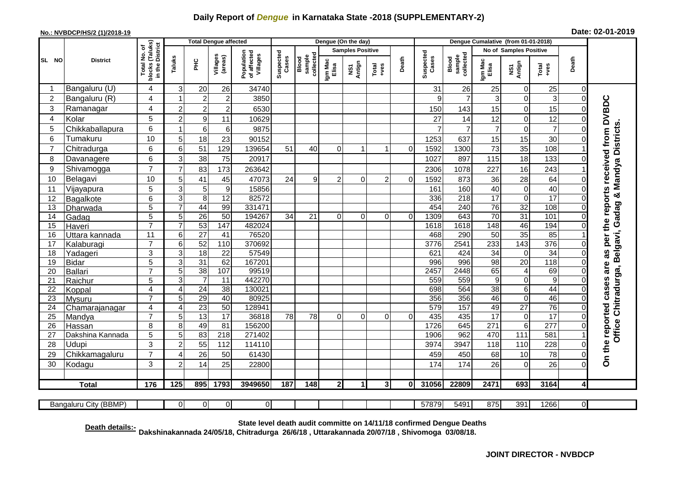## **Daily Report of** *Dengue* **in Karnataka State -2018 (SUPPLEMENTARY-2)**

## **No.: NVBDCP/HS/2 (1)/2018-19 Date: 02-01-2019**

|                 |                       |                                                      | <b>Total Dengue affected</b> |                      |                     |                                       |                    |                             |                         | Dengue (On the day) |                                                              |              |                    |                              |                               |                               |                        |                |                                                       |
|-----------------|-----------------------|------------------------------------------------------|------------------------------|----------------------|---------------------|---------------------------------------|--------------------|-----------------------------|-------------------------|---------------------|--------------------------------------------------------------|--------------|--------------------|------------------------------|-------------------------------|-------------------------------|------------------------|----------------|-------------------------------------------------------|
|                 | <b>District</b>       | blocks (Taluks)<br>in the District<br>৳<br>Total No. |                              |                      |                     | Population<br>of affected<br>Villages |                    |                             | <b>Samples Positive</b> |                     |                                                              |              |                    |                              | <b>No of Samples Positive</b> |                               |                        |                |                                                       |
| SL NO           |                       |                                                      | Taluks                       | ΞÉ                   | Villages<br>(areas) |                                       | Suspected<br>Cases | sample<br>collecte<br>Blood | Igm Mac<br>Elisa        | NS1<br>Antign       | $\begin{array}{c}\n\text{Total} \\ \text{+ves}\n\end{array}$ | Death        | Suspected<br>Cases | collected<br>sample<br>Blood | Igm Mac<br>Elisa              | NS1<br>Antign                 | Total<br>+ves          | Death          |                                                       |
|                 | Bangaluru (U)         | 4                                                    | 3                            | 20                   | 26                  | 34740                                 |                    |                             |                         |                     |                                                              |              | 31                 | 26                           | 25                            | $\Omega$                      | 25                     | $\Omega$       |                                                       |
| $\overline{2}$  | Bangaluru (R)         | 4                                                    |                              | $\overline{2}$       | $\overline{c}$      | 3850                                  |                    |                             |                         |                     |                                                              |              | 9                  | $\overline{7}$               | 3                             | $\mathbf 0$                   | $\,$ 3 $\,$            | $\Omega$       |                                                       |
| 3               | Ramanagar             | 4                                                    | $\overline{2}$               | $\boldsymbol{2}$     | $\overline{c}$      | 6530                                  |                    |                             |                         |                     |                                                              |              | 150                | 143                          | 15                            | $\mathbf 0$                   | 15                     |                | as per the reports received from DVBDC                |
| $\overline{4}$  | Kolar                 | 5                                                    | $\overline{2}$               | $\boldsymbol{9}$     | 11                  | 10629                                 |                    |                             |                         |                     |                                                              |              | 27                 | 14                           | 12                            | $\mathbf 0$                   | 12                     |                |                                                       |
| 5               | Chikkaballapura       | 6                                                    | 1                            | $\,6\,$              | $\,6$               | 9875                                  |                    |                             |                         |                     |                                                              |              |                    | $\overline{7}$               | $\overline{7}$                | $\mathbf 0$                   | $\overline{7}$         |                |                                                       |
| 6               | Tumakuru              | 10                                                   | 5                            | 18                   | 23                  | 90152                                 |                    |                             |                         |                     |                                                              |              | 1253               | 637                          | 15                            | 15                            | 30                     |                | Office Chitradurga, Belgavi, Gadag & Mandya Districts |
| $\overline{7}$  | Chitradurga           | 6                                                    | $6\phantom{1}6$              | 51                   | 129                 | 139654                                | 51                 | 40                          | $\mathbf 0$             | 1                   | 1                                                            | $\Omega$     | 1592               | 1300                         | 73                            | 35                            | 108                    |                |                                                       |
| 8               | Davanagere            | 6                                                    | 3                            | 38                   | 75                  | 20917                                 |                    |                             |                         |                     |                                                              |              | 1027               | 897                          | 115                           | 18                            | 133                    |                |                                                       |
| 9               | Shivamogga            | $\overline{7}$                                       | $\overline{7}$               | 83                   | 173                 | 263642                                |                    |                             |                         |                     |                                                              |              | 2306               | 1078                         | 227                           | 16                            | 243                    |                |                                                       |
| 10              | Belagavi              | 10                                                   | 5                            | 41                   | 45                  | 47073                                 | 24                 | 9                           | 2                       | $\Omega$            | $\overline{2}$                                               | $\Omega$     | 1592               | 873                          | 36                            | 28                            | 64                     |                |                                                       |
| 11              | Vijayapura            | 5                                                    | 3                            | $\sqrt{5}$           | $\boldsymbol{9}$    | 15856                                 |                    |                             |                         |                     |                                                              |              | 161                | 160                          | 40                            | $\mathbf 0$                   | 40                     |                |                                                       |
| 12              | Bagalkote             | 6                                                    | 3                            | 8                    | 12                  | 82572                                 |                    |                             |                         |                     |                                                              |              | 336                | 218                          | $\overline{17}$               | $\mathbf 0$                   | $\overline{17}$        |                |                                                       |
| 13              | Dharwada              | 5                                                    | 7                            | $\overline{44}$      | 99                  | 331471                                |                    |                             |                         |                     |                                                              |              | 454                | 240                          | $\overline{76}$               | $\overline{32}$               | 108                    |                |                                                       |
| 14              | Gadag                 | 5                                                    | 5                            | $\overline{26}$      | $\overline{50}$     | 194267                                | 34                 | 21                          | 0                       | $\Omega$            | $\Omega$                                                     | $\Omega$     | 1309               | 643                          | 70                            | 31                            | 101                    |                |                                                       |
| 15              | Haveri                | $\overline{7}$                                       | $\overline{7}$               | 53                   | 147                 | 482024                                |                    |                             |                         |                     |                                                              |              | 1618               | 1618                         | 148                           | 46                            | 194                    |                |                                                       |
| 16              | Uttara kannada        | 11                                                   | 6                            | $\overline{27}$      | $\overline{41}$     | 76520                                 |                    |                             |                         |                     |                                                              |              | 468                | 290                          | $\overline{50}$               | 35                            | 85                     |                |                                                       |
| 17              | Kalaburagi            | $\overline{7}$                                       | 6                            | 52                   | 110                 | 370692                                |                    |                             |                         |                     |                                                              |              | 3776               | 2541                         | 233                           | 143                           | 376                    |                |                                                       |
| 18              | Yadageri              | 3                                                    | 3                            | $\overline{18}$      | $\overline{22}$     | 57549                                 |                    |                             |                         |                     |                                                              |              | 621                | 424                          | $\overline{34}$               | $\mathbf 0$                   | 34                     |                |                                                       |
| 19              | <b>Bidar</b>          | 5<br>$\overline{7}$                                  | 3                            | 31                   | 62                  | 167201                                |                    |                             |                         |                     |                                                              |              | 996                | 996                          | 98                            | 20                            | 118                    |                | are                                                   |
| 20              | <b>Ballari</b>        | 5                                                    | 5                            | 38<br>$\overline{7}$ | 107<br>11           | 99519<br>442270                       |                    |                             |                         |                     |                                                              |              | 2457<br>559        | 2448<br>559                  | 65<br>$\boldsymbol{9}$        | $\overline{4}$                | 69<br>$\boldsymbol{9}$ | $\Omega$       |                                                       |
| 21<br>22        | Raichur<br>Koppal     | 4                                                    | 3<br>$\overline{4}$          | 24                   | 38                  | 130021                                |                    |                             |                         |                     |                                                              |              | 698                | 564                          | 38                            | $\mathbf 0$<br>$\overline{6}$ | 44                     |                |                                                       |
| $\overline{23}$ | Mysuru                | $\overline{7}$                                       | 5                            | 29                   | 40                  | 80925                                 |                    |                             |                         |                     |                                                              |              | 356                | 356                          | 46                            | $\mathbf 0$                   | 46                     |                |                                                       |
| 24              | Chamarajanagar        | $\overline{4}$                                       | $\overline{4}$               | 23                   | 50                  | 128941                                |                    |                             |                         |                     |                                                              |              | 579                | 157                          | 49                            | $\overline{27}$               | 76                     | $\Omega$       |                                                       |
| $\overline{25}$ | Mandya                | $\overline{7}$                                       | 5                            | 13                   | $\overline{17}$     | 36818                                 | 78                 | 78                          | $\mathbf 0$             | $\Omega$            | $\Omega$                                                     | $\mathbf 0$  | 435                | 435                          | $\overline{17}$               | $\mathbf 0$                   | 17                     |                |                                                       |
| 26              | Hassan                | 8                                                    | 8                            | 49                   | 81                  | 156200                                |                    |                             |                         |                     |                                                              |              | 1726               | 645                          | 271                           | $6\phantom{1}6$               | 277                    |                |                                                       |
| 27              | Dakshina Kannada      | 5                                                    | $\overline{5}$               | 83                   | 218                 | 271402                                |                    |                             |                         |                     |                                                              |              | 1906               | 962                          | 470                           | 111                           | 581                    |                |                                                       |
| 28              | Udupi                 | 3                                                    | $\overline{c}$               | 55                   | 112                 | 114110                                |                    |                             |                         |                     |                                                              |              | 3974               | 3947                         | 118                           | 110                           | 228                    |                |                                                       |
| 29              | Chikkamagaluru        | $\overline{7}$                                       | $\boldsymbol{\Delta}$        | 26                   | 50                  | 61430                                 |                    |                             |                         |                     |                                                              |              | 459                | 450                          | 68                            | 10                            | 78                     | $\Omega$       | On the reported cases                                 |
| 30              | Kodagu                | 3                                                    | $\overline{2}$               | 14                   | 25                  | 22800                                 |                    |                             |                         |                     |                                                              |              | 174                | 174                          | 26                            | $\Omega$                      | 26                     | $\Omega$       |                                                       |
|                 |                       |                                                      |                              |                      |                     |                                       |                    |                             |                         |                     |                                                              |              |                    |                              |                               |                               |                        |                |                                                       |
|                 | <b>Total</b>          | 176                                                  | 125                          | 895                  | 1793                | 3949650                               | 187                | 148                         | 2 <sup>1</sup>          | 1 I                 | 3 <sup>l</sup>                                               | $\mathbf{0}$ | 31056              | 22809                        | 2471                          | 693                           | 3164                   | $\overline{4}$ |                                                       |
|                 | Bangaluru City (BBMP) |                                                      | $\Omega$                     | $\Omega$             | $\overline{0}$      | $\mathbf{0}$                          |                    |                             |                         |                     |                                                              |              | 57879              | 5491                         | 875                           | 391                           | 1266                   | $\overline{0}$ |                                                       |

**Death details:- State level death audit committe on 14/11/18 confirmed Dengue Deaths Dakshinakannada 24/05/18, Chitradurga 26/6/18 , Uttarakannada 20/07/18 , Shivomoga 03/08/18.**